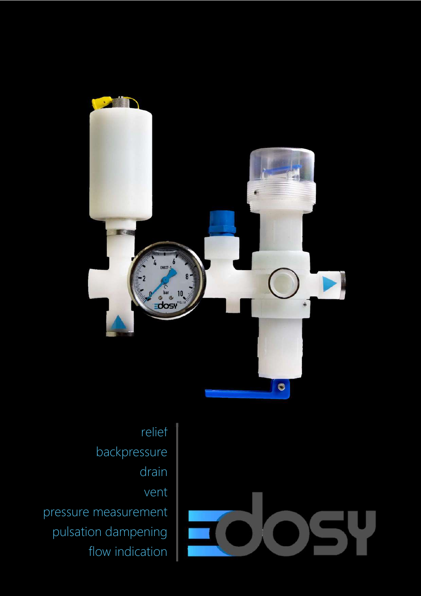



relief backpressure drain vent pressure measurement pulsation dampening flow indication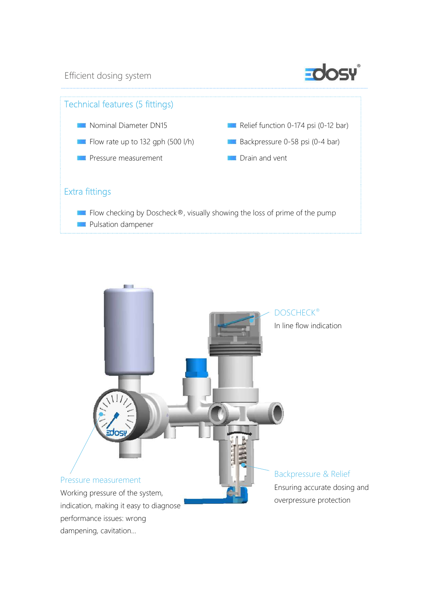Efficient dosing system





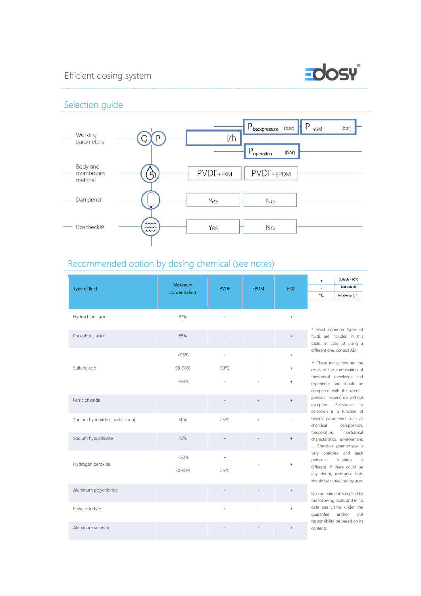## Efficient dosing system



### Selection guide



# Recommended option by dosing chemical (see notes)

| Type of fluid                   | Maximum<br>concentration | <b>PVDF</b>    | <b>EPDM</b> | <b>FKM</b>       | Suitable <60°C<br>÷<br>Not suitable<br>۰C<br>Suitable up to T                                                                                           |
|---------------------------------|--------------------------|----------------|-------------|------------------|---------------------------------------------------------------------------------------------------------------------------------------------------------|
| Hydrochloric acid               | 37%                      | $^{+}$         |             | $^{+}$           |                                                                                                                                                         |
| Phosphoric acid                 | 85%                      | $+$            |             | $^+$             | * Most common types of<br>fluids are included in this<br>table. In case of using a                                                                      |
|                                 | < 93%                    | $+$            |             | $\! + \!\!\!\!$  | different one, contact ADI.<br>** These indications are the                                                                                             |
| Sulfuric acid                   | 93-98%<br>>98%           | $50^{\circ}$ C |             | $^{+}$<br>$^{+}$ | result of the combination of<br>theoretical knowledge and<br>experience and should be<br>compared with the users'                                       |
| Ferric chloride                 |                          | $+$            | $^{+}$      | $^{+}$           | personal experience without<br>exception. Resistance to<br>corrosion is a function of                                                                   |
| Sodium hydroxide (caustic soda) | 50%                      | 25°C           | $^{+}$      |                  | several parameters such as<br>chemical<br>composition,                                                                                                  |
| Sodium hypochlorite             | 15%                      | $+$            |             | $^{+}$           | mechanical<br>temperature,<br>characteristics, environment,<br>Corrosive phenomena is                                                                   |
| Hydrogen peroxide               | < 30%<br>30-90%          | $^{+}$<br>25°C |             |                  | very complex and each<br>situation<br>is<br>particular<br>different. If there could be<br>any doubt, resistance tests<br>should be carried out by user. |
| Aluminum polychloride           |                          | $^{+}$         | $+$         | $^+$             | No commitment is implied by<br>the following table, and in no                                                                                           |
| Polyelectrolyte                 |                          | $+$            |             | $+$              | case can claims under the<br>civil<br>and/or<br>quarantee                                                                                               |
| Aluminum sulphate               |                          | $^{+}$         |             | $^{+}$           | responsibility be based on its<br>contents.                                                                                                             |